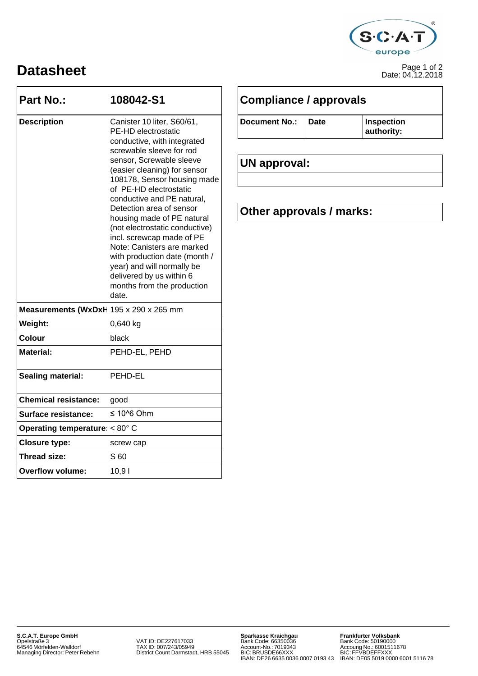

## Page 1 of 2 **Datasheet** Date: 04.12.2018

| <b>Part No.:</b>                        | 108042-S1<br>Canister 10 liter, S60/61,<br>PE-HD electrostatic<br>conductive, with integrated                                                                                                                                                                                                                                                                                                                                                               | <b>Compliance / approvals</b>                   |             |                          |
|-----------------------------------------|-------------------------------------------------------------------------------------------------------------------------------------------------------------------------------------------------------------------------------------------------------------------------------------------------------------------------------------------------------------------------------------------------------------------------------------------------------------|-------------------------------------------------|-------------|--------------------------|
| <b>Description</b>                      |                                                                                                                                                                                                                                                                                                                                                                                                                                                             | <b>Document No.:</b>                            | <b>Date</b> | Inspection<br>authority: |
|                                         | screwable sleeve for rod<br>sensor, Screwable sleeve<br>(easier cleaning) for sensor<br>108178, Sensor housing made<br>of PE-HD electrostatic<br>conductive and PE natural,<br>Detection area of sensor<br>housing made of PE natural<br>(not electrostatic conductive)<br>incl. screwcap made of PE<br>Note: Canisters are marked<br>with production date (month /<br>year) and will normally be<br>delivered by us within 6<br>months from the production | <b>UN approval:</b><br>Other approvals / marks: |             |                          |
| Measurements (WxDxH 195 x 290 x 265 mm  | date.                                                                                                                                                                                                                                                                                                                                                                                                                                                       |                                                 |             |                          |
| Weight:                                 | 0,640 kg                                                                                                                                                                                                                                                                                                                                                                                                                                                    |                                                 |             |                          |
| <b>Colour</b>                           | black                                                                                                                                                                                                                                                                                                                                                                                                                                                       |                                                 |             |                          |
| <b>Material:</b>                        | PEHD-EL, PEHD                                                                                                                                                                                                                                                                                                                                                                                                                                               |                                                 |             |                          |
| Sealing material:                       | PEHD-EL                                                                                                                                                                                                                                                                                                                                                                                                                                                     |                                                 |             |                          |
| <b>Chemical resistance:</b>             | good                                                                                                                                                                                                                                                                                                                                                                                                                                                        |                                                 |             |                          |
| <b>Surface resistance:</b>              | $\leq 10^{6}$ Ohm                                                                                                                                                                                                                                                                                                                                                                                                                                           |                                                 |             |                          |
| Operating temperature: $< 80^{\circ}$ C |                                                                                                                                                                                                                                                                                                                                                                                                                                                             |                                                 |             |                          |
| <b>Closure type:</b>                    | screw cap                                                                                                                                                                                                                                                                                                                                                                                                                                                   |                                                 |             |                          |
| <b>Thread size:</b>                     | S 60                                                                                                                                                                                                                                                                                                                                                                                                                                                        |                                                 |             |                          |
| <b>Overflow volume:</b>                 | 10,91                                                                                                                                                                                                                                                                                                                                                                                                                                                       |                                                 |             |                          |
|                                         |                                                                                                                                                                                                                                                                                                                                                                                                                                                             |                                                 |             |                          |

| Document No.: | <b>Date</b> |
|---------------|-------------|
|               |             |

### Detection area of sensor **Other approvals / marks:**